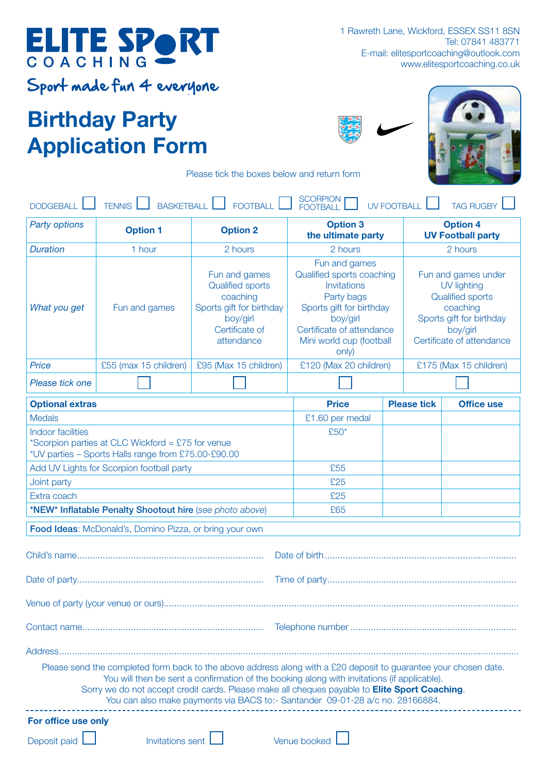## Birthday Party Application Form





Please tick the boxes below and return form

| <b>SCORPION</b><br><b>BASKETBALL</b><br><b>TENNIS</b><br><b>FOOTBALL</b><br>UV FOOTBALL<br><b>TAG RUGBY</b><br><b>DODGEBALL</b><br><b>FOOTBALL</b>                                                                                                                                                                                                                                                        |                       |                                                                                                                              |                                                                                                                                                                                   |                                                                                                                                                |                                             |  |
|-----------------------------------------------------------------------------------------------------------------------------------------------------------------------------------------------------------------------------------------------------------------------------------------------------------------------------------------------------------------------------------------------------------|-----------------------|------------------------------------------------------------------------------------------------------------------------------|-----------------------------------------------------------------------------------------------------------------------------------------------------------------------------------|------------------------------------------------------------------------------------------------------------------------------------------------|---------------------------------------------|--|
| <b>Party options</b>                                                                                                                                                                                                                                                                                                                                                                                      | <b>Option 1</b>       | <b>Option 2</b>                                                                                                              | <b>Option 3</b><br>the ultimate party                                                                                                                                             |                                                                                                                                                | <b>Option 4</b><br><b>UV Football party</b> |  |
| <b>Duration</b>                                                                                                                                                                                                                                                                                                                                                                                           | 1 hour                | 2 hours                                                                                                                      | 2 hours                                                                                                                                                                           | 2 hours                                                                                                                                        |                                             |  |
| What you get                                                                                                                                                                                                                                                                                                                                                                                              | Fun and games         | Fun and games<br><b>Qualified sports</b><br>coaching<br>Sports gift for birthday<br>boy/girl<br>Certificate of<br>attendance | Fun and games<br>Qualified sports coaching<br>Invitations<br>Party bags<br>Sports gift for birthday<br>boy/girl<br>Certificate of attendance<br>Mini world cup (football<br>only) | Fun and games under<br>UV lighting<br><b>Qualified sports</b><br>coaching<br>Sports gift for birthday<br>boy/girl<br>Certificate of attendance |                                             |  |
| <b>Price</b>                                                                                                                                                                                                                                                                                                                                                                                              | £55 (max 15 children) | £95 (Max 15 children)                                                                                                        | £120 (Max 20 children)                                                                                                                                                            |                                                                                                                                                | £175 (Max 15 children)                      |  |
| Please tick one                                                                                                                                                                                                                                                                                                                                                                                           |                       |                                                                                                                              |                                                                                                                                                                                   |                                                                                                                                                |                                             |  |
| <b>Optional extras</b>                                                                                                                                                                                                                                                                                                                                                                                    |                       |                                                                                                                              | <b>Price</b>                                                                                                                                                                      | <b>Please tick</b>                                                                                                                             | <b>Office use</b>                           |  |
| <b>Medals</b>                                                                                                                                                                                                                                                                                                                                                                                             |                       |                                                                                                                              | £1.60 per medal                                                                                                                                                                   |                                                                                                                                                |                                             |  |
| <b>Indoor facilities</b><br>*Scorpion parties at CLC Wickford = $£75$ for venue<br>*UV parties - Sports Halls range from £75.00-£90.00                                                                                                                                                                                                                                                                    |                       |                                                                                                                              | £50*                                                                                                                                                                              |                                                                                                                                                |                                             |  |
| Add UV Lights for Scorpion football party                                                                                                                                                                                                                                                                                                                                                                 |                       |                                                                                                                              | £55                                                                                                                                                                               |                                                                                                                                                |                                             |  |
| Joint party                                                                                                                                                                                                                                                                                                                                                                                               |                       |                                                                                                                              | £25                                                                                                                                                                               |                                                                                                                                                |                                             |  |
| Extra coach                                                                                                                                                                                                                                                                                                                                                                                               |                       |                                                                                                                              | £25                                                                                                                                                                               |                                                                                                                                                |                                             |  |
| *NEW* Inflatable Penalty Shootout hire (see photo above)                                                                                                                                                                                                                                                                                                                                                  |                       |                                                                                                                              | £65                                                                                                                                                                               |                                                                                                                                                |                                             |  |
| Food Ideas: McDonald's, Domino Pizza, or bring your own                                                                                                                                                                                                                                                                                                                                                   |                       |                                                                                                                              |                                                                                                                                                                                   |                                                                                                                                                |                                             |  |
|                                                                                                                                                                                                                                                                                                                                                                                                           |                       |                                                                                                                              |                                                                                                                                                                                   |                                                                                                                                                |                                             |  |
|                                                                                                                                                                                                                                                                                                                                                                                                           |                       |                                                                                                                              |                                                                                                                                                                                   |                                                                                                                                                |                                             |  |
|                                                                                                                                                                                                                                                                                                                                                                                                           |                       |                                                                                                                              |                                                                                                                                                                                   |                                                                                                                                                |                                             |  |
|                                                                                                                                                                                                                                                                                                                                                                                                           |                       |                                                                                                                              |                                                                                                                                                                                   |                                                                                                                                                |                                             |  |
|                                                                                                                                                                                                                                                                                                                                                                                                           |                       | Address………………………………………………………………………………………                                                                                     |                                                                                                                                                                                   |                                                                                                                                                |                                             |  |
| Please send the completed form back to the above address along with a £20 deposit to guarantee your chosen date.<br>You will then be sent a confirmation of the booking along with invitations (if applicable).<br>Sorry we do not accept credit cards. Please make all cheques payable to <b>Elite Sport Coaching</b> .<br>You can also make payments via BACS to:- Santander 09-01-28 a/c no. 28166884. |                       |                                                                                                                              |                                                                                                                                                                                   |                                                                                                                                                |                                             |  |
| For office use only                                                                                                                                                                                                                                                                                                                                                                                       |                       |                                                                                                                              |                                                                                                                                                                                   |                                                                                                                                                |                                             |  |
| <b>Invitations sent</b><br>Venue booked<br>Deposit paid                                                                                                                                                                                                                                                                                                                                                   |                       |                                                                                                                              |                                                                                                                                                                                   |                                                                                                                                                |                                             |  |